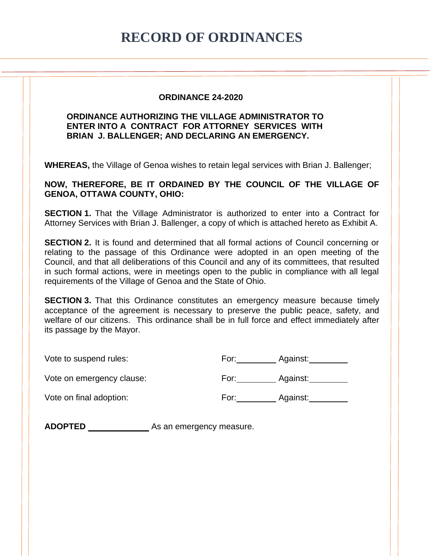## **RECORD OF ORDINANCES**

## **ORDINANCE 24-2020**

## **ORDINANCE AUTHORIZING THE VILLAGE ADMINISTRATOR TO ENTER INTO A CONTRACT FOR ATTORNEY SERVICES WITH BRIAN J. BALLENGER; AND DECLARING AN EMERGENCY.**

**WHEREAS,** the Village of Genoa wishes to retain legal services with Brian J. Ballenger;

**NOW, THEREFORE, BE IT ORDAINED BY THE COUNCIL OF THE VILLAGE OF GENOA, OTTAWA COUNTY, OHIO:**

**SECTION 1.** That the Village Administrator is authorized to enter into a Contract for Attorney Services with Brian J. Ballenger, a copy of which is attached hereto as Exhibit A.

**SECTION 2.** It is found and determined that all formal actions of Council concerning or relating to the passage of this Ordinance were adopted in an open meeting of the Council, and that all deliberations of this Council and any of its committees, that resulted in such formal actions, were in meetings open to the public in compliance with all legal requirements of the Village of Genoa and the State of Ohio.

**SECTION 3.** That this Ordinance constitutes an emergency measure because timely acceptance of the agreement is necessary to preserve the public peace, safety, and welfare of our citizens. This ordinance shall be in full force and effect immediately after its passage by the Mayor.

Vote to suspend rules:

| ⊦or: | Against: |  |
|------|----------|--|
|      |          |  |

Vote on emergency clause:

| For: | Against: |
|------|----------|
|------|----------|

Vote on final adoption:

| For: | Against: |  |
|------|----------|--|
|      |          |  |

ADOPTED As an emergency measure.